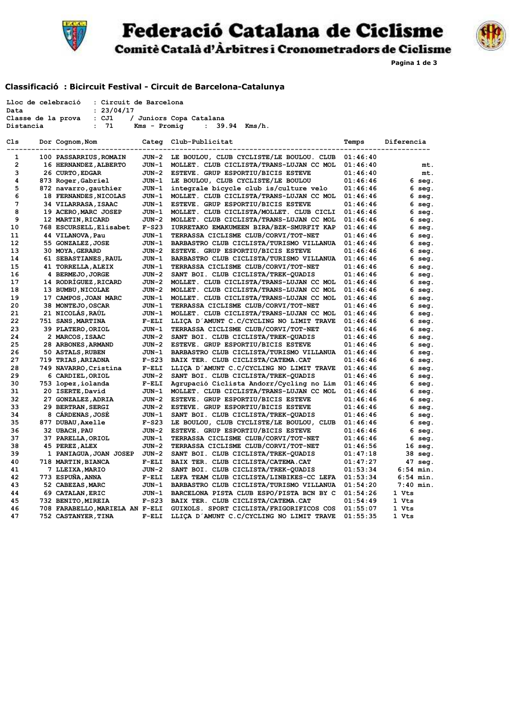

## **Federació Catalana de Ciclisme**



**Pagina 1 de 3**

### **Classificació : Bicircuit Festival - Circuit de Barcelona-Catalunya**

|                | Lloc de celebració<br>: Circuit de Barcelona |              |                                          |          |                           |
|----------------|----------------------------------------------|--------------|------------------------------------------|----------|---------------------------|
| Data           | : 23/04/17                                   |              |                                          |          |                           |
|                | Classe de la prova<br>: CJ1                  |              | / Juniors Copa Catalana                  |          |                           |
| Distancia      | 71<br>$\ddot{\cdot}$                         | Kms - Promig | $\mathbf{L}$<br>39.94<br>Kms/h.          |          |                           |
| Cls<br>$- - -$ | Dor Cognom, Nom<br>--------------            | Categ        | Club-Publicitat<br>----------            | Temps    | Diferencia<br>----------- |
| 1              | 100 PASSARRIUS, ROMAIN                       | JUN-2        | LE BOULOU, CLUB CYCLISTE/LE BOULOU. CLUB | 01:46:40 |                           |
| $\mathbf{2}$   | 16 HERNANDEZ, ALBERTO                        | JUN-1        | MOLLET. CLUB CICLISTA/TRANS-LUJAN CC MOL | 01:46:40 | mt.                       |
| 3              | 26 CURTO, EDGAR                              | JUN-2        | ESTEVE. GRUP ESPORTIU/BICIS ESTEVE       | 01:46:40 | mt.                       |
| 4              | 873 Roger, Gabriel                           | JUN-1        | LE BOULOU, CLUB CYCLISTE/LE BOULOU       | 01:46:46 | 6 seg.                    |
| 5              | 872 navarro, gauthier                        | JUN-1        | integrale bicycle club is/culture velo   | 01:46:46 | 6 seg.                    |
| 6              | 18 FERNANDES, NICOLAS                        | JUN-1        | MOLLET. CLUB CICLISTA/TRANS-LUJAN CC MOL | 01:46:46 | 6 seg.                    |
| 7              | 34 VILARRASA, ISAAC                          | JUN-1        | ESTEVE. GRUP ESPORTIU/BICIS ESTEVE       | 01:46:46 | 6 seg.                    |
| 8              | 19 ACERO, MARC JOSEP                         | JUN-1        | MOLLET. CLUB CICLISTA/MOLLET. CLUB CICLI | 01:46:46 | 6 seg.                    |
| 9              | 12 MARTIN, RICARD                            | JUN-2        | MOLLET. CLUB CICLISTA/TRANS-LUJAN CC MOL | 01:46:46 | 6 seg.                    |
| 10             | 768 ESCURSELL, Elisabet                      | $F-S23$      | IURRETAKO EMAKUMEEN BIRA/BZK-SMURFIT KAP | 01:46:46 | 6 seg.                    |
| 11             | 44 VILANOVA, Pau                             | JUN-1        | TERRASSA CICLISME CLUB/CORVI/TOT-NET     | 01:46:46 | 6 seg.                    |
| 12             | 55 GONZALEZ, JOSE                            | JUN-1        | BARBASTRO CLUB CICLISTA/TURISMO VILLANUA | 01:46:46 | 6 seg.                    |
| 13             | 30 MOYA, GERARD                              | JUN-2        | ESTEVE. GRUP ESPORTIU/BICIS ESTEVE       | 01:46:46 | 6 seg.                    |
| 14             | 61 SEBASTIANES, RAUL                         | JUN-1        | BARBASTRO CLUB CICLISTA/TURISMO VILLANUA | 01:46:46 | 6 seg.                    |
| 15             | 41 TORRELLA, ALEIX                           | JUN-1        | TERRASSA CICLISME CLUB/CORVI/TOT-NET     | 01:46:46 | 6 seg.                    |
| 16             | 4 BERMEJO, JORGE                             | JUN-2        | SANT BOI. CLUB CICLISTA/TREK-QUADIS      | 01:46:46 | 6 seg.                    |
| 17             | 14 RODRIGUEZ, RICARD                         | JUN-2        | MOLLET. CLUB CICLISTA/TRANS-LUJAN CC MOL | 01:46:46 | 6 seg.                    |
| 18             | 13 BUMBU, NICOLAE                            | JUN-2        | MOLLET. CLUB CICLISTA/TRANS-LUJAN CC MOL | 01:46:46 | 6 seg.                    |
| 19             | 17 CAMPOS, JOAN MARC                         | JUN-1        | MOLLET. CLUB CICLISTA/TRANS-LUJAN CC MOL | 01:46:46 | 6 seg.                    |
| 20             | 38 MONTEJO, OSCAR                            | JUN-1        | TERRASSA CICLISME CLUB/CORVI/TOT-NET     | 01:46:46 | 6 seg.                    |
| 21             | 21 NICOLAS, RAUL                             | JUN-1        | MOLLET. CLUB CICLISTA/TRANS-LUJAN CC MOL | 01:46:46 | 6 seg.                    |
| 22             | 751 SANS, MARTINA                            | $F-ELI$      | LLIÇA D'AMUNT C.C/CYCLING NO LIMIT TRAVE | 01:46:46 | 6 seg.                    |
| 23             | 39 PLATERO, ORIOL                            | JUN-1        | TERRASSA CICLISME CLUB/CORVI/TOT-NET     | 01:46:46 | 6 seg.                    |
| 24             | 2 MARCOS, ISAAC                              | JUN-2        | SANT BOI. CLUB CICLISTA/TREK-QUADIS      | 01:46:46 | 6 seg.                    |
| 25             | 28 ARBONES, ARMAND                           | JUN-2        | ESTEVE. GRUP ESPORTIU/BICIS ESTEVE       | 01:46:46 | 6 seg.                    |
| 26             | <b>50 ASTALS, RUBEN</b>                      | JUN-1        | BARBASTRO CLUB CICLISTA/TURISMO VILLANUA | 01:46:46 | 6 seg.                    |
| 27             | 719 TRIAS, ARIADNA                           | $F-S23$      | BAIX TER. CLUB CICLISTA/CATEMA.CAT       | 01:46:46 | 6 seg.                    |
| 28             | 749 NAVARRO, Cristina                        | $F-ELI$      | LLIÇA D'AMUNT C.C/CYCLING NO LIMIT TRAVE | 01:46:46 | 6 seg.                    |
| 29             | 6 CARDIEL, ORIOL                             | JUN-2        | SANT BOI. CLUB CICLISTA/TREK-QUADIS      | 01:46:46 | 6 seg.                    |
| 30             | 753 lopez, iolanda                           | $F-ELI$      | Agrupació Ciclista Andorr/Cycling no Lim | 01:46:46 | 6 seg.                    |
| 31             | 20 ISERTE, David                             | JUN-1        | MOLLET. CLUB CICLISTA/TRANS-LUJAN CC MOL | 01:46:46 | 6 seg.                    |
| 32             | 27 GONZALEZ, ADRIA                           | JUN-2        | ESTEVE. GRUP ESPORTIU/BICIS ESTEVE       | 01:46:46 | 6 seg.                    |
| 33             | 29 BERTRAN, SERGI                            | JUN-2        | ESTEVE. GRUP ESPORTIU/BICIS ESTEVE       | 01:46:46 | 6 seg.                    |
| 34             | 8 CARDENAS, JOSE                             | JUN-1        | SANT BOI. CLUB CICLISTA/TREK-QUADIS      | 01:46:46 | 6 seg.                    |
| 35             | 877 DUBAU, Axelle                            | $F-S23$      | LE BOULOU, CLUB CYCLISTE/LE BOULOU, CLUB | 01:46:46 | 6 seg.                    |
| 36             | 32 UBACH, PAU                                | JUN-2        | ESTEVE. GRUP ESPORTIU/BICIS ESTEVE       | 01:46:46 | 6 seg.                    |
| 37             | 37 PARELLA, ORIOL                            | JUN-1        | TERRASSA CICLISME CLUB/CORVI/TOT-NET     | 01:46:46 | 6 seg.                    |
| 38             | 45 PEREZ, ALEX                               | JUN-2        | TERRASSA CICLISME CLUB/CORVI/TOT-NET     | 01:46:56 | $16 \text{ seq.}$         |
| 39             | 1 PANIAGUA, JOAN JOSEP                       | JUN-2        | SANT BOI. CLUB CICLISTA/TREK-QUADIS      | 01:47:18 | 38 seg.                   |
| 40             | 718 MARTIN, BIANCA                           | $F-ELI$      | BAIX TER. CLUB CICLISTA/CATEMA.CAT       | 01:47:27 | 47 seg.                   |
| 41             | 7 LLEIXA, MARIO                              | JUN-2        | SANT BOI. CLUB CICLISTA/TREK-QUADIS      | 01:53:34 | $6:54$ min.               |
| 42             | 773 ESPUÑA, ANNA                             | $F-ELI$      | LEFA TEAM CLUB CICLISTA/LINBIKES-CC LEFA | 01:53:34 | $6:54$ min.               |
| 43             | 52 CABEZAS, MARC                             | JUN-1        | BARBASTRO CLUB CICLISTA/TURISMO VILLANUA | 01:54:20 | $7:40$ min.               |
| 44             | 69 CATALAN, ERIC                             | JUN-1        | BARCELONA PISTA CLUB ESPO/PISTA BCN BY C | 01:54:26 | 1 Vts                     |
| 45             | 732 BENITO, MIREIA                           | F-S23        | BAIX TER. CLUB CICLISTA/CATEMA.CAT       | 01:54:49 | 1 Vts                     |
| 46             | 708 FARABELLO, MARIELA AN F-ELI              |              | GUIXOLS. SPORT CICLISTA/FRIGORIFICOS COS | 01:55:07 | 1 Vts                     |
| 47             | 752 CASTANYER, TINA                          | $F-ELI$      | LLIÇA D'AMUNT C.C/CYCLING NO LIMIT TRAVE | 01:55:35 | 1 Vts                     |

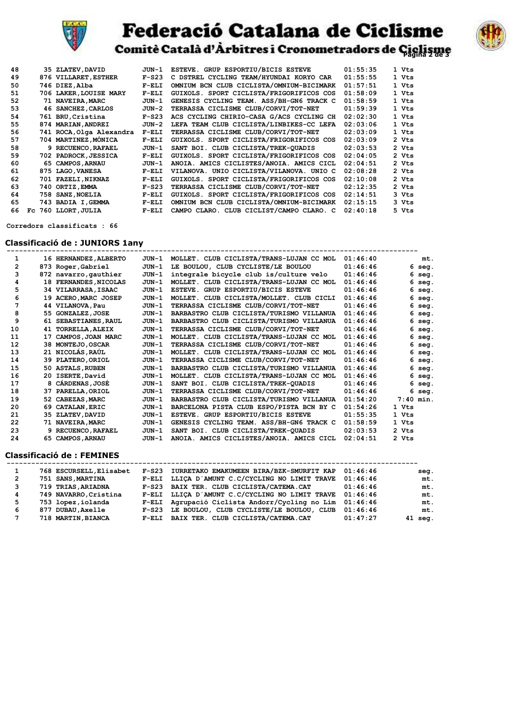

# **Federació Catalana de Ciclisme**



Comitè Català d'Àrbitres i Cronometradors de Ciclisme

| 48 |     | 35 ZLATEV, DAVID         | JUN-1    | ESTEVE. GRUP ESPORTIU/BICIS ESTEVE       | 01:55:35 | 1 Vts          |
|----|-----|--------------------------|----------|------------------------------------------|----------|----------------|
| 49 |     | 876 VILLARET, ESTHER     | $F-S23$  | C DSTREL CYCLING TEAM/HYUNDAI KORYO CAR  | 01:55:55 | 1 Vts          |
| 50 |     | 746 DIEZ.Alba            | $F$ -ELI | OMNIUM BCN CLUB CICLISTA/OMNIUM-BICIMARK | 01:57:51 | 1 Vts          |
| 51 |     | 706 LAKER, LOUISE MARY   | $F$ -ELI | GUIXOLS. SPORT CICLISTA/FRIGORIFICOS COS | 01:58:09 | 1 Vts          |
| 52 |     | 71 NAVEIRA, MARC         | JUN-1    | GENESIS CYCLING TEAM. ASS/BH-GN6 TRACK C | 01:58:59 | 1 Vts          |
| 53 |     | 46 SANCHEZ, CARLOS       | JUN-2    | TERRASSA CICLISME CLUB/CORVI/TOT-NET     | 01:59:39 | 1 Vts          |
| 54 |     | 761 BRU, Cristina        | $F-S23$  | ACS CYCLING CHIRIO-CASA G/ACS CYCLING CH | 02:02:30 | 1 Vts          |
| 55 |     | 874 MARIAN, ANDREI       | JUN-2    | LEFA TEAM CLUB CICLISTA/LINBIKES-CC LEFA | 02:03:06 | 1 Vts          |
| 56 |     | 741 ROCA, Olga Alexandra | $F-ELI$  | TERRASSA CICLISME CLUB/CORVI/TOT-NET     | 02:03:09 | 1 Vts          |
| 57 |     | 704 MARTINEZ, MONICA     | $F$ -ELI | GUIXOLS. SPORT CICLISTA/FRIGORIFICOS COS | 02:03:09 | 2 Vts          |
| 58 |     | 9 RECUENCO, RAFAEL       | JUN-1    | SANT BOI. CLUB CICLISTA/TREK-QUADIS      | 02:03:53 | 2 Vts          |
| 59 |     | 702 PADROCK, JESSICA     | $F$ -ELI | GUIXOLS. SPORT CICLISTA/FRIGORIFICOS COS | 02:04:05 | $2 \text{Vts}$ |
| 60 |     | 65 CAMPOS, ARNAU         | JUN-1    | ANOIA. AMICS CICLISTES/ANOIA. AMICS CICL | 02:04:51 | 2 Vts          |
| 61 | 875 | <b>LAGO, VANESA</b>      | $F$ -ELI | VILANOVA. UNIO CICLISTA/VILANOVA. UNIO C | 02:08:28 | 2 Vts          |
| 62 |     | 701 FAZELI, NIKNAZ       | $F$ -ELI | GUIXOLS. SPORT CICLISTA/FRIGORIFICOS COS | 02:10:08 | 2 Vts          |
| 63 | 740 | <b>ORTIZ, EMMA</b>       | $F-S23$  | TERRASSA CICLISME CLUB/CORVI/TOT-NET     | 02:12:35 | 2 Vts          |
| 64 | 758 | <b>SANZ, NOELIA</b>      | $F$ -ELI | GUIXOLS. SPORT CICLISTA/FRIGORIFICOS COS | 02:14:51 | 3 Vts          |
| 65 |     | 743 BADIA I, GEMMA       | $F$ -ELI | OMNIUM BCN CLUB CICLISTA/OMNIUM-BICIMARK | 02:15:15 | 3 Vts          |
| 66 | Fc  | 760 LLORT, JULIA         | $F$ -ELI | CAMPO CLARO. CLUB CICLIST/CAMPO CLARO. C | 02:40:18 | 5 Vts          |

 **Corredors classificats : 66**

#### **Classificació de : JUNIORS 1any**

| 1              |    | 16 HERNANDEZ, ALBERTO | JUN-1   | MOLLET. CLUB CICLISTA/TRANS-LUJAN CC MOL | 01:46:40 | mt.         |
|----------------|----|-----------------------|---------|------------------------------------------|----------|-------------|
| $\overline{2}$ |    | 873 Roger, Gabriel    | JUN-1   | LE BOULOU, CLUB CYCLISTE/LE BOULOU       | 01:46:46 | $6$ seg.    |
| 3              |    | 872 navarro, gauthier | $JUN-1$ | integrale bicycle club is/culture velo   | 01:46:46 | 6<br>seq.   |
| 4              |    | 18 FERNANDES, NICOLAS | $JUN-1$ | MOLLET. CLUB CICLISTA/TRANS-LUJAN CC MOL | 01:46:46 | 6<br>seq.   |
| 5              |    | 34 VILARRASA, ISAAC   | $JUN-1$ | ESTEVE. GRUP ESPORTIU/BICIS ESTEVE       | 01:46:46 | 6.<br>seq.  |
| 6              |    | 19 ACERO, MARC JOSEP  | $JUN-1$ | MOLLET. CLUB CICLISTA/MOLLET. CLUB CICLI | 01:46:46 | $6$ seg.    |
| 7              |    | 44 VILANOVA, Pau      | $JUN-1$ | TERRASSA CICLISME CLUB/CORVI/TOT-NET     | 01:46:46 | 6 seg.      |
| 8              |    | 55 GONZALEZ, JOSE     | $JUN-1$ | BARBASTRO CLUB CICLISTA/TURISMO VILLANUA | 01:46:46 | $6$ seq.    |
| 9              |    | 61 SEBASTIANES, RAUL  | $JUN-1$ | BARBASTRO CLUB CICLISTA/TURISMO VILLANUA | 01:46:46 | 6 seg.      |
| 10             |    | 41 TORRELLA, ALEIX    | $JUN-1$ | TERRASSA CICLISME CLUB/CORVI/TOT-NET     | 01:46:46 | $6$ seg.    |
| 11             | 17 | CAMPOS, JOAN MARC     | $JUN-1$ | MOLLET. CLUB CICLISTA/TRANS-LUJAN CC MOL | 01:46:46 | 6 seg.      |
| 12             |    | 38 MONTEJO, OSCAR     | $JUN-1$ | TERRASSA CICLISME CLUB/CORVI/TOT-NET     | 01:46:46 | $6$ seg.    |
| 13             |    | 21 NICOLÁS RAÚL       | $JUN-1$ | MOLLET. CLUB CICLISTA/TRANS-LUJAN CC MOL | 01:46:46 | 6 seg.      |
| 14             |    | 39 PLATERO, ORIOL     | $JUN-1$ | TERRASSA CICLISME CLUB/CORVI/TOT-NET     | 01:46:46 | $6$ seg.    |
| 15             |    | 50 ASTALS, RUBEN      | $JUN-1$ | BARBASTRO CLUB CICLISTA/TURISMO VILLANUA | 01:46:46 | $6$ seg.    |
| 16             |    | 20 ISERTE, David      | $JUN-1$ | MOLLET. CLUB CICLISTA/TRANS-LUJAN CC MOL | 01:46:46 | 6 seg.      |
| 17             |    | 8 CÁRDENAS, JOSÉ      | $JUN-1$ | SANT BOI. CLUB CICLISTA/TREK-QUADIS      | 01:46:46 | 6 seg.      |
| 18             |    | 37 PARELLA, ORIOL     | $JUN-1$ | TERRASSA CICLISME CLUB/CORVI/TOT-NET     | 01:46:46 | 6 seg.      |
| 19             |    | 52 CABEZAS, MARC      | $JUN-1$ | BARBASTRO CLUB CICLISTA/TURISMO VILLANUA | 01:54:20 | $7:40$ min. |
| 20             |    | 69 CATALAN, ERIC      | $JUN-1$ | BARCELONA PISTA CLUB ESPO/PISTA BCN BY C | 01:54:26 | 1 Vts       |
| 21             |    | 35 ZLATEV, DAVID      | $JUN-1$ | ESTEVE. GRUP ESPORTIU/BICIS ESTEVE       | 01:55:35 | 1 Vts       |
| 22             |    | 71 NAVEIRA, MARC      | $JUN-1$ | GENESIS CYCLING TEAM. ASS/BH-GN6 TRACK C | 01:58:59 | 1 Vts       |
| 23             |    | 9 RECUENCO, RAFAEL    | $JUN-1$ | SANT BOI. CLUB CICLISTA/TREK-QUADIS      | 02:03:53 | 2 Vts       |
| 24             |    | 65 CAMPOS, ARNAU      | $JUN-1$ | ANOIA. AMICS CICLISTES/ANOIA. AMICS CICL | 02:04:51 | 2 Vts       |
|                |    |                       |         |                                          |          |             |

### **Classificació de : FEMINES**

| 1              | 768 ESCURSELL, Elisabet | F-S23    | IURRETAKO EMAKUMEEN BIRA/BZK-SMURFIT KAP                | 01:46:46 | seq.      |
|----------------|-------------------------|----------|---------------------------------------------------------|----------|-----------|
| $\overline{2}$ | 751 SANS, MARTINA       | $F$ -ELI | LLICA D'AMUNT C.C/CYCLING NO LIMIT TRAVE                | 01:46:46 | mt.       |
| 3              | 719 TRIAS, ARIADNA      |          | F-S23 BAIX TER. CLUB CICLISTA/CATEMA.CAT                | 01:46:46 | mt.       |
| 4              | 749 NAVARRO, Cristina   |          | F-ELI LLIÇA D'AMUNT C.C/CYCLING NO LIMIT TRAVE 01:46:46 |          | mt.       |
| 5.             | 753 lopez, iolanda      |          | F-ELI Agrupació Ciclista Andorr/Cycling no Lim          | 01:46:46 | mt.       |
| 6              | 877 DUBAU.Axelle        | F-S23    | LE BOULOU, CLUB CYCLISTE/LE BOULOU, CLUB                | 01:46:46 | mt.       |
| 7              | 718 MARTIN, BIANCA      |          | F-ELI BAIX TER. CLUB CICLISTA/CATEMA.CAT                | 01:47:27 | $41$ seq. |
|                |                         |          |                                                         |          |           |